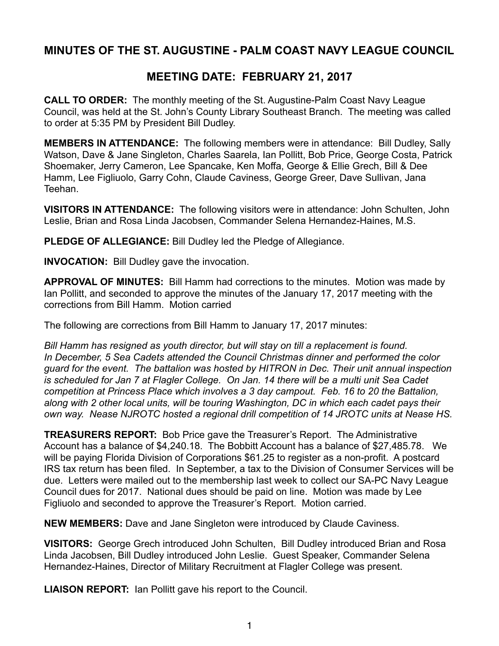## **MINUTES OF THE ST. AUGUSTINE - PALM COAST NAVY LEAGUE COUNCIL**

## **MEETING DATE: FEBRUARY 21, 2017**

**CALL TO ORDER:** The monthly meeting of the St. Augustine-Palm Coast Navy League Council, was held at the St. John's County Library Southeast Branch. The meeting was called to order at 5:35 PM by President Bill Dudley.

**MEMBERS IN ATTENDANCE:** The following members were in attendance: Bill Dudley, Sally Watson, Dave & Jane Singleton, Charles Saarela, Ian Pollitt, Bob Price, George Costa, Patrick Shoemaker, Jerry Cameron, Lee Spancake, Ken Moffa, George & Ellie Grech, Bill & Dee Hamm, Lee Figliuolo, Garry Cohn, Claude Caviness, George Greer, Dave Sullivan, Jana Teehan.

**VISITORS IN ATTENDANCE:** The following visitors were in attendance: John Schulten, John Leslie, Brian and Rosa Linda Jacobsen, Commander Selena Hernandez-Haines, M.S.

**PLEDGE OF ALLEGIANCE:** Bill Dudley led the Pledge of Allegiance.

**INVOCATION:** Bill Dudley gave the invocation.

**APPROVAL OF MINUTES:** Bill Hamm had corrections to the minutes. Motion was made by Ian Pollitt, and seconded to approve the minutes of the January 17, 2017 meeting with the corrections from Bill Hamm. Motion carried

The following are corrections from Bill Hamm to January 17, 2017 minutes:

*Bill Hamm has resigned as youth director, but will stay on till a replacement is found. In December, 5 Sea Cadets attended the Council Christmas dinner and performed the color guard for the event. The battalion was hosted by HITRON in Dec. Their unit annual inspection is scheduled for Jan 7 at Flagler College. On Jan. 14 there will be a multi unit Sea Cadet competition at Princess Place which involves a 3 day campout. Feb. 16 to 20 the Battalion, along with 2 other local units, will be touring Washington, DC in which each cadet pays their own way. Nease NJROTC hosted a regional drill competition of 14 JROTC units at Nease HS.*

**TREASURERS REPORT:** Bob Price gave the Treasurer's Report. The Administrative Account has a balance of \$4,240.18. The Bobbitt Account has a balance of \$27,485.78. We will be paying Florida Division of Corporations \$61.25 to register as a non-profit. A postcard IRS tax return has been filed. In September, a tax to the Division of Consumer Services will be due. Letters were mailed out to the membership last week to collect our SA-PC Navy League Council dues for 2017. National dues should be paid on line. Motion was made by Lee Figliuolo and seconded to approve the Treasurer's Report. Motion carried.

**NEW MEMBERS:** Dave and Jane Singleton were introduced by Claude Caviness.

**VISITORS:** George Grech introduced John Schulten, Bill Dudley introduced Brian and Rosa Linda Jacobsen, Bill Dudley introduced John Leslie. Guest Speaker, Commander Selena Hernandez-Haines, Director of Military Recruitment at Flagler College was present.

**LIAISON REPORT:** Ian Pollitt gave his report to the Council.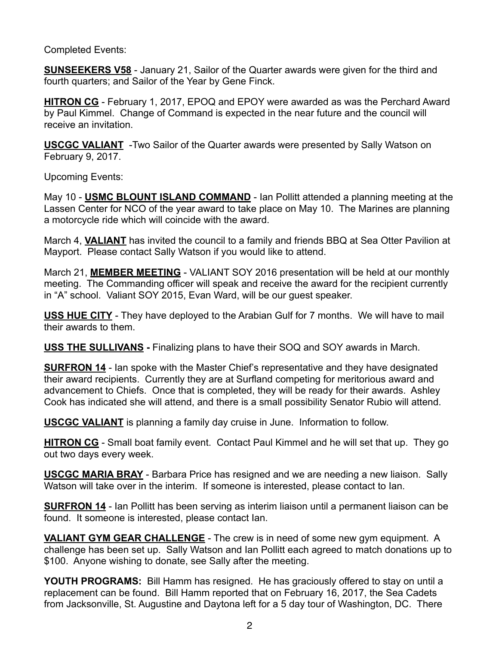## Completed Events:

**SUNSEEKERS V58** - January 21, Sailor of the Quarter awards were given for the third and fourth quarters; and Sailor of the Year by Gene Finck.

**HITRON CG** - February 1, 2017, EPOQ and EPOY were awarded as was the Perchard Award by Paul Kimmel. Change of Command is expected in the near future and the council will receive an invitation.

**USCGC VALIANT** -Two Sailor of the Quarter awards were presented by Sally Watson on February 9, 2017.

Upcoming Events:

May 10 - **USMC BLOUNT ISLAND COMMAND** - Ian Pollitt attended a planning meeting at the Lassen Center for NCO of the year award to take place on May 10. The Marines are planning a motorcycle ride which will coincide with the award.

March 4, **VALIANT** has invited the council to a family and friends BBQ at Sea Otter Pavilion at Mayport. Please contact Sally Watson if you would like to attend.

March 21, **MEMBER MEETING** - VALIANT SOY 2016 presentation will be held at our monthly meeting. The Commanding officer will speak and receive the award for the recipient currently in "A" school. Valiant SOY 2015, Evan Ward, will be our guest speaker.

**USS HUE CITY** - They have deployed to the Arabian Gulf for 7 months. We will have to mail their awards to them.

**USS THE SULLIVANS -** Finalizing plans to have their SOQ and SOY awards in March.

**SURFRON 14** - Ian spoke with the Master Chief's representative and they have designated their award recipients. Currently they are at Surfland competing for meritorious award and advancement to Chiefs. Once that is completed, they will be ready for their awards. Ashley Cook has indicated she will attend, and there is a small possibility Senator Rubio will attend.

**USCGC VALIANT** is planning a family day cruise in June. Information to follow.

**HITRON CG** - Small boat family event. Contact Paul Kimmel and he will set that up. They go out two days every week.

**USCGC MARIA BRAY** - Barbara Price has resigned and we are needing a new liaison. Sally Watson will take over in the interim. If someone is interested, please contact to Ian.

**SURFRON 14** - Ian Pollitt has been serving as interim liaison until a permanent liaison can be found. It someone is interested, please contact Ian.

**VALIANT GYM GEAR CHALLENGE** - The crew is in need of some new gym equipment. A challenge has been set up. Sally Watson and Ian Pollitt each agreed to match donations up to \$100. Anyone wishing to donate, see Sally after the meeting.

**YOUTH PROGRAMS:** Bill Hamm has resigned. He has graciously offered to stay on until a replacement can be found. Bill Hamm reported that on February 16, 2017, the Sea Cadets from Jacksonville, St. Augustine and Daytona left for a 5 day tour of Washington, DC. There